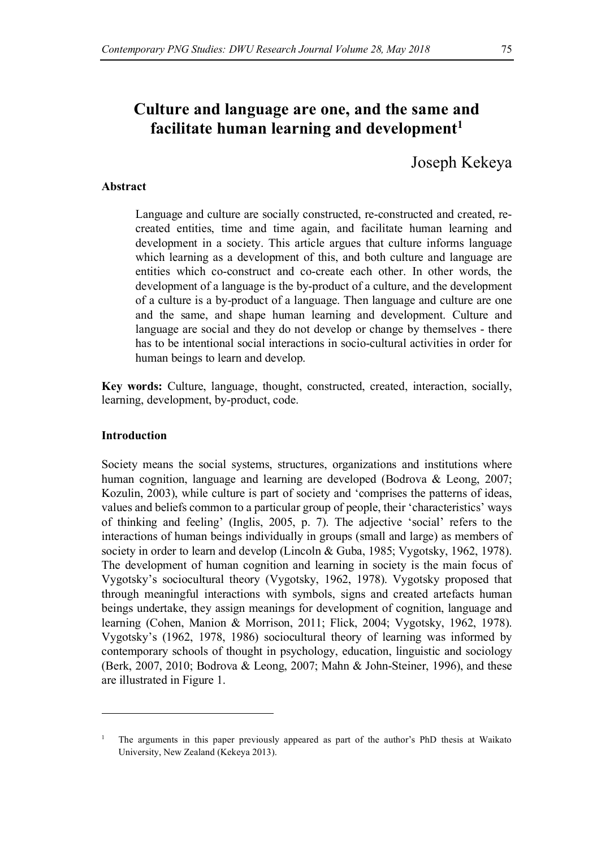# **Culture and language are one, and the same and**  facilitate human learning and development<sup>1</sup>

Joseph Kekeya

### **Abstract**

Language and culture are socially constructed, re-constructed and created, recreated entities, time and time again, and facilitate human learning and development in a society. This article argues that culture informs language which learning as a development of this, and both culture and language are entities which co-construct and co-create each other. In other words, the development of a language is the by-product of a culture, and the development of a culture is a by-product of a language. Then language and culture are one and the same, and shape human learning and development. Culture and language are social and they do not develop or change by themselves - there has to be intentional social interactions in socio-cultural activities in order for human beings to learn and develop.

**Key words:** Culture, language, thought, constructed, created, interaction, socially, learning, development, by-product, code.

## **Introduction**

l

Society means the social systems, structures, organizations and institutions where human cognition, language and learning are developed (Bodrova & Leong, 2007; Kozulin, 2003), while culture is part of society and 'comprises the patterns of ideas, values and beliefs common to a particular group of people, their 'characteristics' ways of thinking and feeling' (Inglis, 2005, p. 7). The adjective 'social' refers to the interactions of human beings individually in groups (small and large) as members of society in order to learn and develop (Lincoln & Guba, 1985; Vygotsky, 1962, 1978). The development of human cognition and learning in society is the main focus of Vygotsky's sociocultural theory (Vygotsky, 1962, 1978). Vygotsky proposed that through meaningful interactions with symbols, signs and created artefacts human beings undertake, they assign meanings for development of cognition, language and learning (Cohen, Manion & Morrison, 2011; Flick, 2004; Vygotsky, 1962, 1978). Vygotsky's (1962, 1978, 1986) sociocultural theory of learning was informed by contemporary schools of thought in psychology, education, linguistic and sociology (Berk, 2007, 2010; Bodrova & Leong, 2007; Mahn & John-Steiner, 1996), and these are illustrated in Figure 1.

<sup>1</sup> The arguments in this paper previously appeared as part of the author's PhD thesis at Waikato University, New Zealand (Kekeya 2013).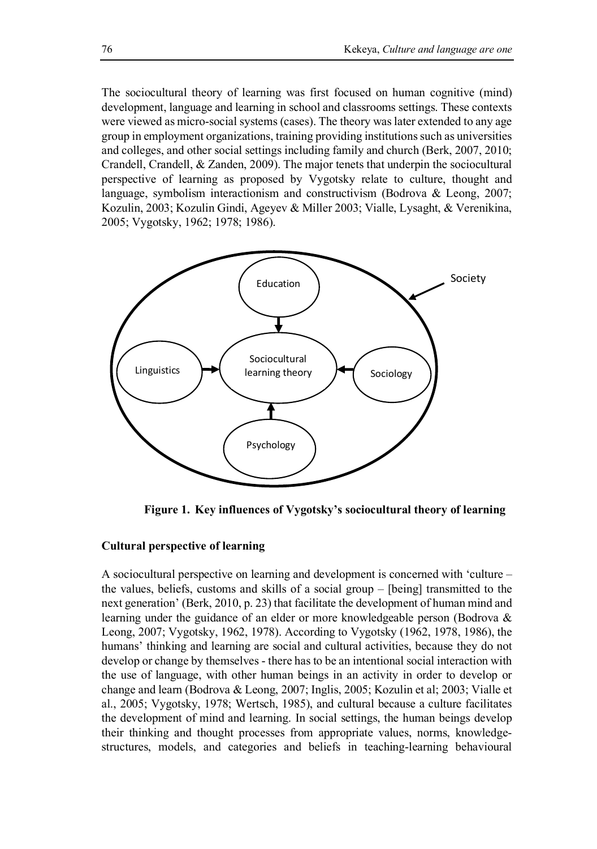The sociocultural theory of learning was first focused on human cognitive (mind) development, language and learning in school and classrooms settings. These contexts were viewed as micro-social systems (cases). The theory was later extended to any age group in employment organizations, training providing institutions such as universities and colleges, and other social settings including family and church (Berk, 2007, 2010; Crandell, Crandell, & Zanden, 2009). The major tenets that underpin the sociocultural perspective of learning as proposed by Vygotsky relate to culture, thought and language, symbolism interactionism and constructivism (Bodrova & Leong, 2007; Kozulin, 2003; Kozulin Gindi, Ageyev & Miller 2003; Vialle, Lysaght, & Verenikina, 2005; Vygotsky, 1962; 1978; 1986).



**Figure 1. Key influences of Vygotsky's sociocultural theory of learning**

## **Cultural perspective of learning**

A sociocultural perspective on learning and development is concerned with 'culture – the values, beliefs, customs and skills of a social group – [being] transmitted to the next generation' (Berk, 2010, p. 23) that facilitate the development of human mind and learning under the guidance of an elder or more knowledgeable person (Bodrova & Leong, 2007; Vygotsky, 1962, 1978). According to Vygotsky (1962, 1978, 1986), the humans' thinking and learning are social and cultural activities, because they do not develop or change by themselves - there has to be an intentional social interaction with the use of language, with other human beings in an activity in order to develop or change and learn (Bodrova & Leong, 2007; Inglis, 2005; Kozulin et al; 2003; Vialle et al., 2005; Vygotsky, 1978; Wertsch, 1985), and cultural because a culture facilitates the development of mind and learning. In social settings, the human beings develop their thinking and thought processes from appropriate values, norms, knowledgestructures, models, and categories and beliefs in teaching-learning behavioural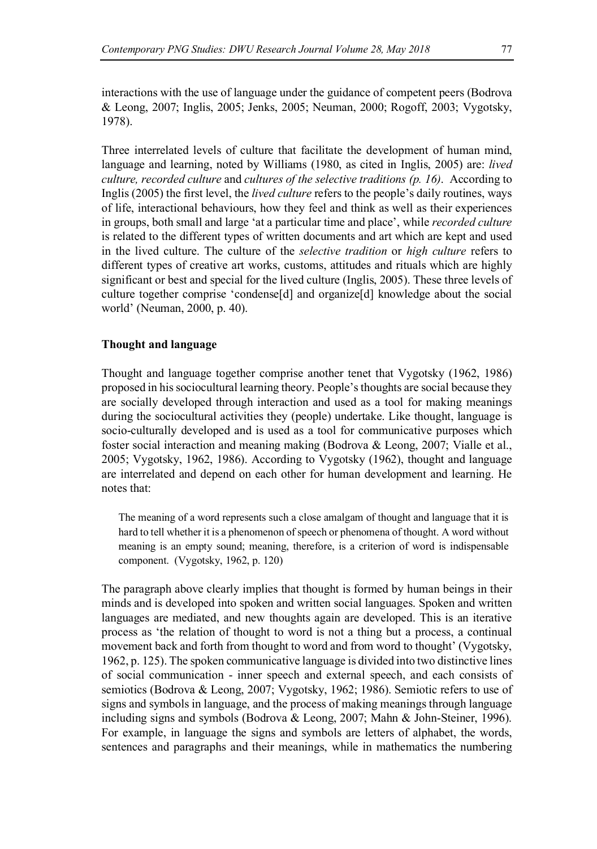interactions with the use of language under the guidance of competent peers (Bodrova & Leong, 2007; Inglis, 2005; Jenks, 2005; Neuman, 2000; Rogoff, 2003; Vygotsky, 1978).

Three interrelated levels of culture that facilitate the development of human mind, language and learning, noted by Williams (1980, as cited in Inglis, 2005) are: *lived culture, recorded culture* and *cultures of the selective traditions (p. 16)*. According to Inglis (2005) the first level, the *lived culture* refers to the people's daily routines, ways of life, interactional behaviours, how they feel and think as well as their experiences in groups, both small and large 'at a particular time and place', while *recorded culture* is related to the different types of written documents and art which are kept and used in the lived culture. The culture of the *selective tradition* or *high culture* refers to different types of creative art works, customs, attitudes and rituals which are highly significant or best and special for the lived culture (Inglis, 2005). These three levels of culture together comprise 'condense[d] and organize[d] knowledge about the social world' (Neuman, 2000, p. 40).

## **Thought and language**

Thought and language together comprise another tenet that Vygotsky (1962, 1986) proposed in his sociocultural learning theory. People's thoughts are social because they are socially developed through interaction and used as a tool for making meanings during the sociocultural activities they (people) undertake. Like thought, language is socio-culturally developed and is used as a tool for communicative purposes which foster social interaction and meaning making (Bodrova & Leong, 2007; Vialle et al., 2005; Vygotsky, 1962, 1986). According to Vygotsky (1962), thought and language are interrelated and depend on each other for human development and learning. He notes that:

The meaning of a word represents such a close amalgam of thought and language that it is hard to tell whether it is a phenomenon of speech or phenomena of thought. A word without meaning is an empty sound; meaning, therefore, is a criterion of word is indispensable component. (Vygotsky, 1962, p. 120)

The paragraph above clearly implies that thought is formed by human beings in their minds and is developed into spoken and written social languages. Spoken and written languages are mediated, and new thoughts again are developed. This is an iterative process as 'the relation of thought to word is not a thing but a process, a continual movement back and forth from thought to word and from word to thought' (Vygotsky, 1962, p. 125). The spoken communicative language is divided into two distinctive lines of social communication - inner speech and external speech, and each consists of semiotics (Bodrova & Leong, 2007; Vygotsky, 1962; 1986). Semiotic refers to use of signs and symbols in language, and the process of making meanings through language including signs and symbols (Bodrova & Leong, 2007; Mahn & John-Steiner, 1996). For example, in language the signs and symbols are letters of alphabet, the words, sentences and paragraphs and their meanings, while in mathematics the numbering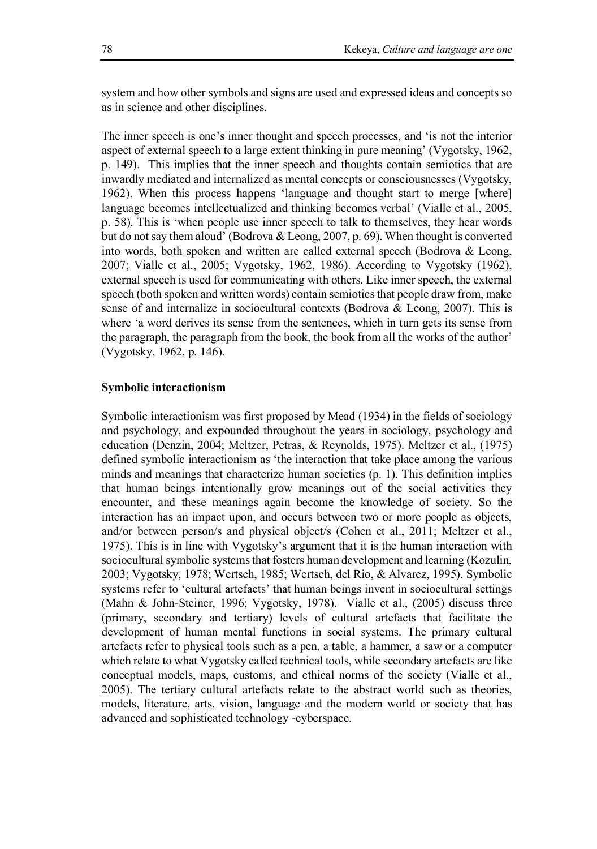system and how other symbols and signs are used and expressed ideas and concepts so as in science and other disciplines.

The inner speech is one's inner thought and speech processes, and 'is not the interior aspect of external speech to a large extent thinking in pure meaning' (Vygotsky, 1962, p. 149). This implies that the inner speech and thoughts contain semiotics that are inwardly mediated and internalized as mental concepts or consciousnesses (Vygotsky, 1962). When this process happens 'language and thought start to merge [where] language becomes intellectualized and thinking becomes verbal' (Vialle et al., 2005, p. 58). This is 'when people use inner speech to talk to themselves, they hear words but do not say them aloud' (Bodrova & Leong, 2007, p. 69). When thought is converted into words, both spoken and written are called external speech (Bodrova & Leong, 2007; Vialle et al., 2005; Vygotsky, 1962, 1986). According to Vygotsky (1962), external speech is used for communicating with others. Like inner speech, the external speech (both spoken and written words) contain semiotics that people draw from, make sense of and internalize in sociocultural contexts (Bodrova & Leong, 2007). This is where 'a word derives its sense from the sentences, which in turn gets its sense from the paragraph, the paragraph from the book, the book from all the works of the author' (Vygotsky, 1962, p. 146).

## **Symbolic interactionism**

Symbolic interactionism was first proposed by Mead (1934) in the fields of sociology and psychology, and expounded throughout the years in sociology, psychology and education (Denzin, 2004; Meltzer, Petras, & Reynolds, 1975). Meltzer et al., (1975) defined symbolic interactionism as 'the interaction that take place among the various minds and meanings that characterize human societies (p. 1). This definition implies that human beings intentionally grow meanings out of the social activities they encounter, and these meanings again become the knowledge of society. So the interaction has an impact upon, and occurs between two or more people as objects, and/or between person/s and physical object/s (Cohen et al., 2011; Meltzer et al., 1975). This is in line with Vygotsky's argument that it is the human interaction with sociocultural symbolic systems that fosters human development and learning (Kozulin, 2003; Vygotsky, 1978; Wertsch, 1985; Wertsch, del Rio, & Alvarez, 1995). Symbolic systems refer to 'cultural artefacts' that human beings invent in sociocultural settings (Mahn & John-Steiner, 1996; Vygotsky, 1978). Vialle et al., (2005) discuss three (primary, secondary and tertiary) levels of cultural artefacts that facilitate the development of human mental functions in social systems. The primary cultural artefacts refer to physical tools such as a pen, a table, a hammer, a saw or a computer which relate to what Vygotsky called technical tools, while secondary artefacts are like conceptual models, maps, customs, and ethical norms of the society (Vialle et al., 2005). The tertiary cultural artefacts relate to the abstract world such as theories, models, literature, arts, vision, language and the modern world or society that has advanced and sophisticated technology -cyberspace.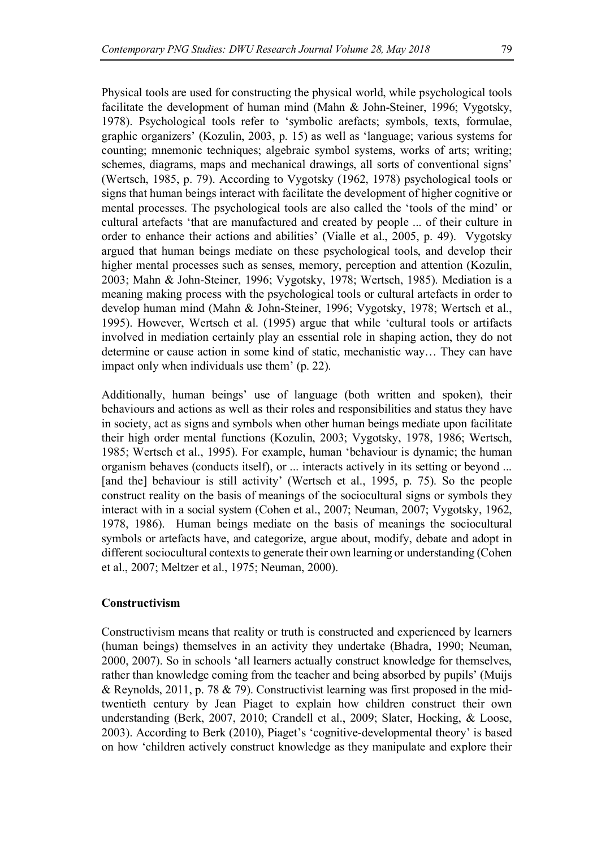Physical tools are used for constructing the physical world, while psychological tools facilitate the development of human mind (Mahn & John-Steiner, 1996; Vygotsky, 1978). Psychological tools refer to 'symbolic arefacts; symbols, texts, formulae, graphic organizers' (Kozulin, 2003, p. 15) as well as 'language; various systems for counting; mnemonic techniques; algebraic symbol systems, works of arts; writing; schemes, diagrams, maps and mechanical drawings, all sorts of conventional signs' (Wertsch, 1985, p. 79). According to Vygotsky (1962, 1978) psychological tools or signs that human beings interact with facilitate the development of higher cognitive or mental processes. The psychological tools are also called the 'tools of the mind' or cultural artefacts 'that are manufactured and created by people ... of their culture in order to enhance their actions and abilities' (Vialle et al., 2005, p. 49). Vygotsky argued that human beings mediate on these psychological tools, and develop their higher mental processes such as senses, memory, perception and attention (Kozulin, 2003; Mahn & John-Steiner, 1996; Vygotsky, 1978; Wertsch, 1985). Mediation is a meaning making process with the psychological tools or cultural artefacts in order to develop human mind (Mahn & John-Steiner, 1996; Vygotsky, 1978; Wertsch et al., 1995). However, Wertsch et al. (1995) argue that while 'cultural tools or artifacts involved in mediation certainly play an essential role in shaping action, they do not determine or cause action in some kind of static, mechanistic way… They can have impact only when individuals use them' (p. 22).

Additionally, human beings' use of language (both written and spoken), their behaviours and actions as well as their roles and responsibilities and status they have in society, act as signs and symbols when other human beings mediate upon facilitate their high order mental functions (Kozulin, 2003; Vygotsky, 1978, 1986; Wertsch, 1985; Wertsch et al., 1995). For example, human 'behaviour is dynamic; the human organism behaves (conducts itself), or ... interacts actively in its setting or beyond ... [and the] behaviour is still activity' (Wertsch et al., 1995, p. 75). So the people construct reality on the basis of meanings of the sociocultural signs or symbols they interact with in a social system (Cohen et al., 2007; Neuman, 2007; Vygotsky, 1962, 1978, 1986). Human beings mediate on the basis of meanings the sociocultural symbols or artefacts have, and categorize, argue about, modify, debate and adopt in different sociocultural contexts to generate their own learning or understanding (Cohen et al., 2007; Meltzer et al., 1975; Neuman, 2000).

### **Constructivism**

Constructivism means that reality or truth is constructed and experienced by learners (human beings) themselves in an activity they undertake (Bhadra, 1990; Neuman, 2000, 2007). So in schools 'all learners actually construct knowledge for themselves, rather than knowledge coming from the teacher and being absorbed by pupils' (Muijs & Reynolds, 2011, p. 78 & 79). Constructivist learning was first proposed in the midtwentieth century by Jean Piaget to explain how children construct their own understanding (Berk, 2007, 2010; Crandell et al., 2009; Slater, Hocking, & Loose, 2003). According to Berk (2010), Piaget's 'cognitive-developmental theory' is based on how 'children actively construct knowledge as they manipulate and explore their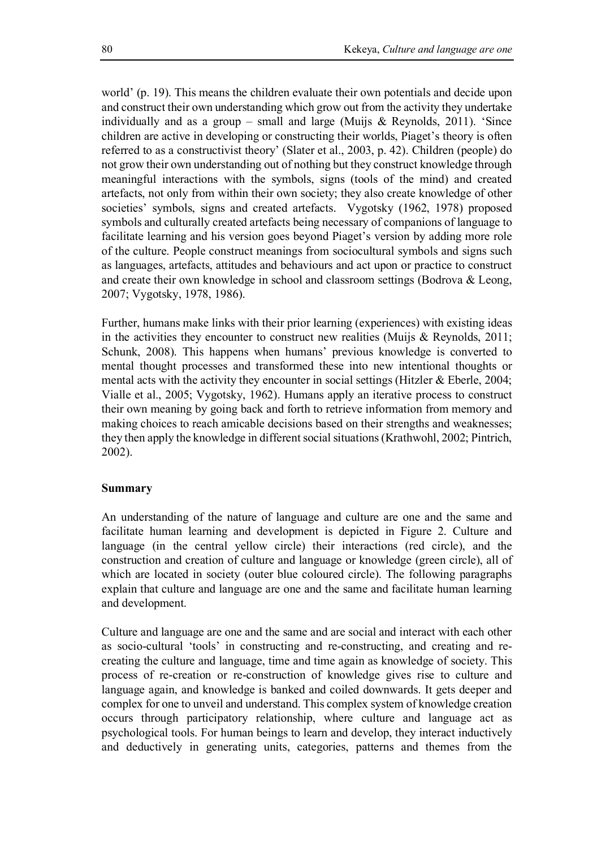world' (p. 19). This means the children evaluate their own potentials and decide upon and construct their own understanding which grow out from the activity they undertake individually and as a group – small and large (Muijs & Reynolds, 2011). 'Since children are active in developing or constructing their worlds, Piaget's theory is often referred to as a constructivist theory' (Slater et al., 2003, p. 42). Children (people) do not grow their own understanding out of nothing but they construct knowledge through meaningful interactions with the symbols, signs (tools of the mind) and created artefacts, not only from within their own society; they also create knowledge of other societies' symbols, signs and created artefacts. Vygotsky (1962, 1978) proposed symbols and culturally created artefacts being necessary of companions of language to facilitate learning and his version goes beyond Piaget's version by adding more role of the culture. People construct meanings from sociocultural symbols and signs such as languages, artefacts, attitudes and behaviours and act upon or practice to construct and create their own knowledge in school and classroom settings (Bodrova & Leong, 2007; Vygotsky, 1978, 1986).

Further, humans make links with their prior learning (experiences) with existing ideas in the activities they encounter to construct new realities (Muijs  $\&$  Reynolds, 2011; Schunk, 2008). This happens when humans' previous knowledge is converted to mental thought processes and transformed these into new intentional thoughts or mental acts with the activity they encounter in social settings (Hitzler  $&$  Eberle, 2004; Vialle et al., 2005; Vygotsky, 1962). Humans apply an iterative process to construct their own meaning by going back and forth to retrieve information from memory and making choices to reach amicable decisions based on their strengths and weaknesses; they then apply the knowledge in different social situations (Krathwohl, 2002; Pintrich, 2002).

### **Summary**

An understanding of the nature of language and culture are one and the same and facilitate human learning and development is depicted in Figure 2. Culture and language (in the central yellow circle) their interactions (red circle), and the construction and creation of culture and language or knowledge (green circle), all of which are located in society (outer blue coloured circle). The following paragraphs explain that culture and language are one and the same and facilitate human learning and development.

Culture and language are one and the same and are social and interact with each other as socio-cultural 'tools' in constructing and re-constructing, and creating and recreating the culture and language, time and time again as knowledge of society. This process of re-creation or re-construction of knowledge gives rise to culture and language again, and knowledge is banked and coiled downwards. It gets deeper and complex for one to unveil and understand. This complex system of knowledge creation occurs through participatory relationship, where culture and language act as psychological tools. For human beings to learn and develop, they interact inductively and deductively in generating units, categories, patterns and themes from the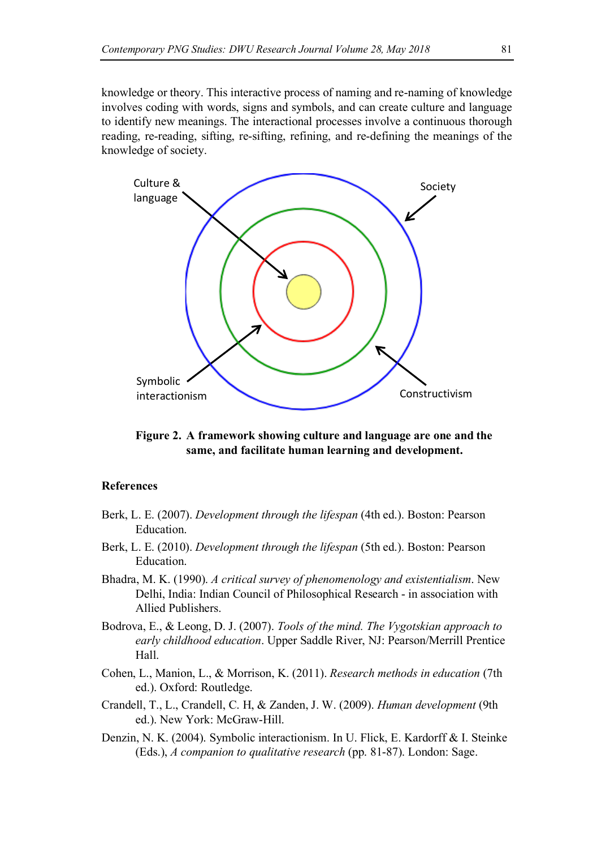knowledge or theory. This interactive process of naming and re-naming of knowledge involves coding with words, signs and symbols, and can create culture and language to identify new meanings. The interactional processes involve a continuous thorough reading, re-reading, sifting, re-sifting, refining, and re-defining the meanings of the knowledge of society.



**Figure 2. A framework showing culture and language are one and the same, and facilitate human learning and development.**

#### **References**

- Berk, L. E. (2007). *Development through the lifespan* (4th ed.). Boston: Pearson Education.
- Berk, L. E. (2010). *Development through the lifespan* (5th ed.). Boston: Pearson Education.
- Bhadra, M. K. (1990). *A critical survey of phenomenology and existentialism*. New Delhi, India: Indian Council of Philosophical Research - in association with Allied Publishers.
- Bodrova, E., & Leong, D. J. (2007). *Tools of the mind. The Vygotskian approach to early childhood education*. Upper Saddle River, NJ: Pearson/Merrill Prentice Hall.
- Cohen, L., Manion, L., & Morrison, K. (2011). *Research methods in education* (7th ed.). Oxford: Routledge.
- Crandell, T., L., Crandell, C. H, & Zanden, J. W. (2009). *Human development* (9th ed.). New York: McGraw-Hill.
- Denzin, N. K. (2004). Symbolic interactionism. In U. Flick, E. Kardorff & I. Steinke (Eds.), *A companion to qualitative research* (pp. 81-87). London: Sage.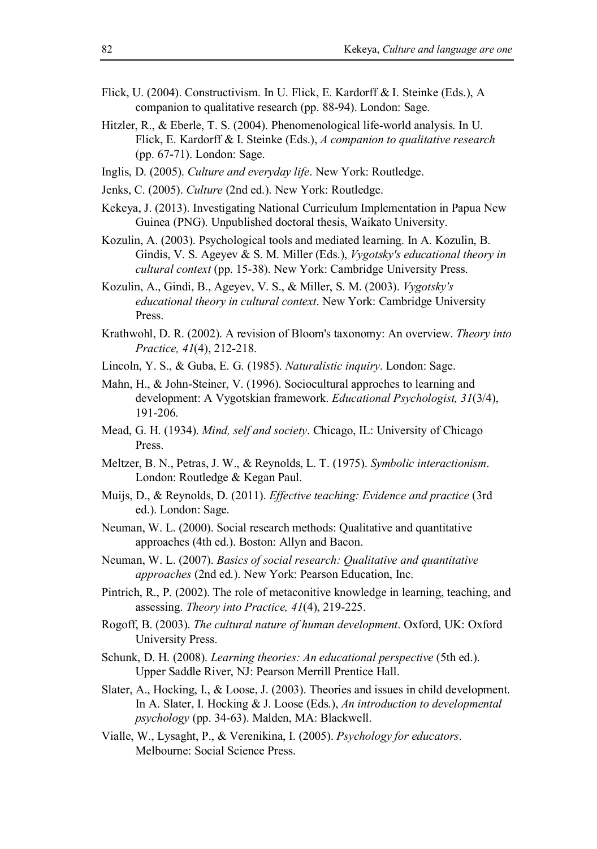- Flick, U. (2004). Constructivism. In U. Flick, E. Kardorff & I. Steinke (Eds.), A companion to qualitative research (pp. 88-94). London: Sage.
- Hitzler, R., & Eberle, T. S. (2004). Phenomenological life-world analysis. In U. Flick, E. Kardorff & I. Steinke (Eds.), *A companion to qualitative research* (pp. 67-71). London: Sage.
- Inglis, D. (2005). *Culture and everyday life*. New York: Routledge.
- Jenks, C. (2005). *Culture* (2nd ed.). New York: Routledge.
- Kekeya, J. (2013). Investigating National Curriculum Implementation in Papua New Guinea (PNG). Unpublished doctoral thesis, Waikato University.
- Kozulin, A. (2003). Psychological tools and mediated learning. In A. Kozulin, B. Gindis, V. S. Ageyev & S. M. Miller (Eds.), *Vygotsky's educational theory in cultural context* (pp. 15-38). New York: Cambridge University Press.
- Kozulin, A., Gindi, B., Ageyev, V. S., & Miller, S. M. (2003). *Vygotsky's educational theory in cultural context*. New York: Cambridge University Press.
- Krathwohl, D. R. (2002). A revision of Bloom's taxonomy: An overview. *Theory into Practice, 41*(4), 212-218.
- Lincoln, Y. S., & Guba, E. G. (1985). *Naturalistic inquiry*. London: Sage.
- Mahn, H., & John-Steiner, V. (1996). Sociocultural approches to learning and development: A Vygotskian framework. *Educational Psychologist, 31*(3/4), 191-206.
- Mead, G. H. (1934). *Mind, self and society*. Chicago, IL: University of Chicago Press.
- Meltzer, B. N., Petras, J. W., & Reynolds, L. T. (1975). *Symbolic interactionism*. London: Routledge & Kegan Paul.
- Muijs, D., & Reynolds, D. (2011). *Effective teaching: Evidence and practice* (3rd ed.). London: Sage.
- Neuman, W. L. (2000). Social research methods: Qualitative and quantitative approaches (4th ed.). Boston: Allyn and Bacon.
- Neuman, W. L. (2007). *Basics of social research: Qualitative and quantitative approaches* (2nd ed.). New York: Pearson Education, Inc.
- Pintrich, R., P. (2002). The role of metaconitive knowledge in learning, teaching, and assessing. *Theory into Practice, 41*(4), 219-225.
- Rogoff, B. (2003). *The cultural nature of human development*. Oxford, UK: Oxford University Press.
- Schunk, D. H. (2008). *Learning theories: An educational perspective* (5th ed.). Upper Saddle River, NJ: Pearson Merrill Prentice Hall.
- Slater, A., Hocking, I., & Loose, J. (2003). Theories and issues in child development. In A. Slater, I. Hocking & J. Loose (Eds.), *An introduction to developmental psychology* (pp. 34-63). Malden, MA: Blackwell.
- Vialle, W., Lysaght, P., & Verenikina, I. (2005). *Psychology for educators*. Melbourne: Social Science Press.